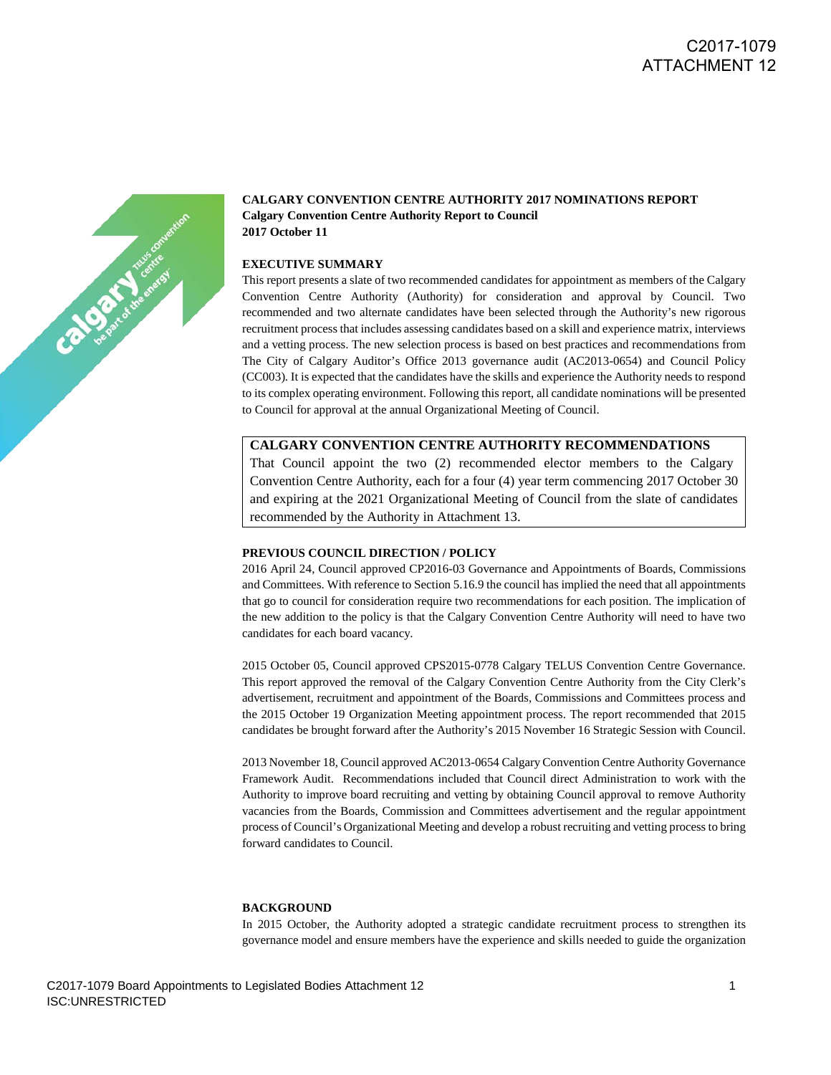# C2017-1079 ATTACHMENT 12



## **CALGARY CONVENTION CENTRE AUTHORITY 2017 NOMINATIONS REPORT Calgary Convention Centre Authority Report to Council 2017 October 11**

#### **EXECUTIVE SUMMARY**

This report presents a slate of two recommended candidates for appointment as members of the Calgary Convention Centre Authority (Authority) for consideration and approval by Council. Two recommended and two alternate candidates have been selected through the Authority's new rigorous recruitment process that includes assessing candidates based on a skill and experience matrix, interviews and a vetting process. The new selection process is based on best practices and recommendations from The City of Calgary Auditor's Office 2013 governance audit (AC2013-0654) and Council Policy (CC003). It is expected that the candidates have the skills and experience the Authority needs to respond to its complex operating environment. Following this report, all candidate nominations will be presented to Council for approval at the annual Organizational Meeting of Council.

#### **CALGARY CONVENTION CENTRE AUTHORITY RECOMMENDATIONS**

That Council appoint the two (2) recommended elector members to the Calgary Convention Centre Authority, each for a four (4) year term commencing 2017 October 30 and expiring at the 2021 Organizational Meeting of Council from the slate of candidates recommended by the Authority in Attachment 13.

### **PREVIOUS COUNCIL DIRECTION / POLICY**

2016 April 24, Council approved CP2016-03 Governance and Appointments of Boards, Commissions and Committees. With reference to Section 5.16.9 the council has implied the need that all appointments that go to council for consideration require two recommendations for each position. The implication of the new addition to the policy is that the Calgary Convention Centre Authority will need to have two candidates for each board vacancy.

2015 October 05, Council approved CPS2015-0778 Calgary TELUS Convention Centre Governance. This report approved the removal of the Calgary Convention Centre Authority from the City Clerk's advertisement, recruitment and appointment of the Boards, Commissions and Committees process and the 2015 October 19 Organization Meeting appointment process. The report recommended that 2015 candidates be brought forward after the Authority's 2015 November 16 Strategic Session with Council.

2013 November 18, Council approved AC2013-0654 Calgary Convention Centre Authority Governance Framework Audit. Recommendations included that Council direct Administration to work with the Authority to improve board recruiting and vetting by obtaining Council approval to remove Authority vacancies from the Boards, Commission and Committees advertisement and the regular appointment process of Council's Organizational Meeting and develop a robust recruiting and vetting process to bring forward candidates to Council.

#### **BACKGROUND**

In 2015 October, the Authority adopted a strategic candidate recruitment process to strengthen its governance model and ensure members have the experience and skills needed to guide the organization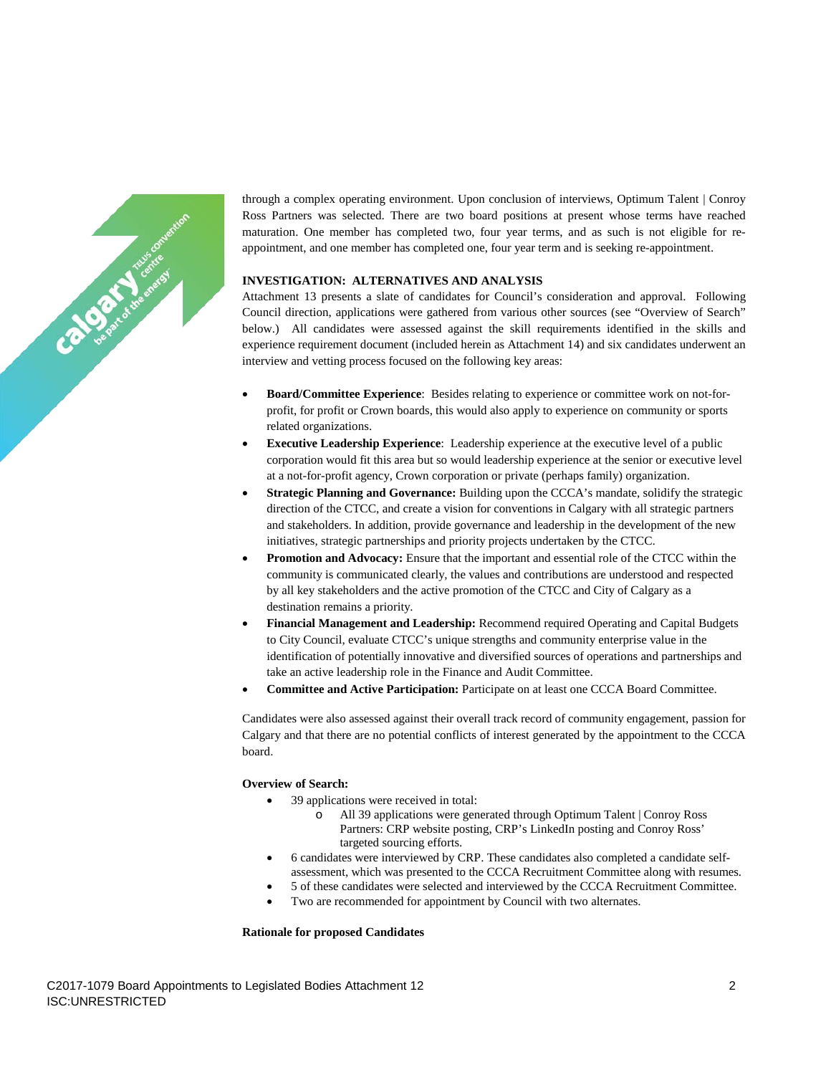

through a complex operating environment. Upon conclusion of interviews, Optimum Talent | Conroy Ross Partners was selected. There are two board positions at present whose terms have reached maturation. One member has completed two, four year terms, and as such is not eligible for reappointment, and one member has completed one, four year term and is seeking re-appointment.

## **INVESTIGATION: ALTERNATIVES AND ANALYSIS**

Attachment 13 presents a slate of candidates for Council's consideration and approval. Following Council direction, applications were gathered from various other sources (see "Overview of Search" below.) All candidates were assessed against the skill requirements identified in the skills and experience requirement document (included herein as Attachment 14) and six candidates underwent an interview and vetting process focused on the following key areas:

- **Board/Committee Experience**: Besides relating to experience or committee work on not-forprofit, for profit or Crown boards, this would also apply to experience on community or sports related organizations.
- **Executive Leadership Experience:** Leadership experience at the executive level of a public corporation would fit this area but so would leadership experience at the senior or executive level at a not-for-profit agency, Crown corporation or private (perhaps family) organization.
- **Strategic Planning and Governance:** Building upon the CCCA's mandate, solidify the strategic direction of the CTCC, and create a vision for conventions in Calgary with all strategic partners and stakeholders. In addition, provide governance and leadership in the development of the new initiatives, strategic partnerships and priority projects undertaken by the CTCC.
- **Promotion and Advocacy:** Ensure that the important and essential role of the CTCC within the community is communicated clearly, the values and contributions are understood and respected by all key stakeholders and the active promotion of the CTCC and City of Calgary as a destination remains a priority.
- **Financial Management and Leadership:** Recommend required Operating and Capital Budgets to City Council, evaluate CTCC's unique strengths and community enterprise value in the identification of potentially innovative and diversified sources of operations and partnerships and take an active leadership role in the Finance and Audit Committee.
- **Committee and Active Participation:** Participate on at least one CCCA Board Committee.

Candidates were also assessed against their overall track record of community engagement, passion for Calgary and that there are no potential conflicts of interest generated by the appointment to the CCCA board.

#### **Overview of Search:**

- 39 applications were received in total:
	- All 39 applications were generated through Optimum Talent | Conroy Ross Partners: CRP website posting, CRP's LinkedIn posting and Conroy Ross' targeted sourcing efforts.
- 6 candidates were interviewed by CRP. These candidates also completed a candidate selfassessment, which was presented to the CCCA Recruitment Committee along with resumes.
- 5 of these candidates were selected and interviewed by the CCCA Recruitment Committee.
- Two are recommended for appointment by Council with two alternates.

#### **Rationale for proposed Candidates**